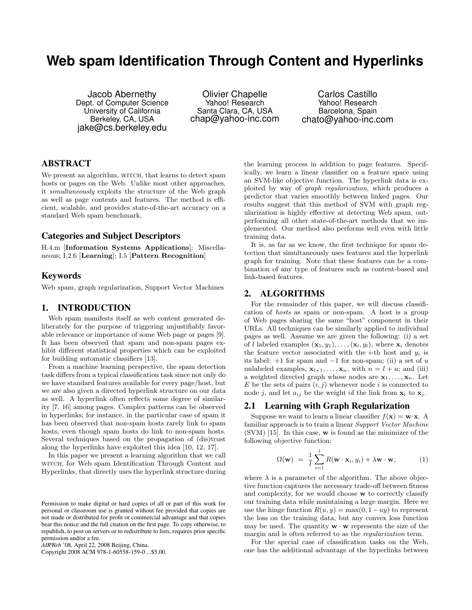# **Web spam Identification Through Content and Hyperlinks**

Jacob Abernethy Dept. of Computer Science University of California Berkeley, CA, USA jake@cs.berkeley.edu

Olivier Chapelle Yahoo! Research Santa Clara, CA, USA chap@yahoo-inc.com

Carlos Castillo Yahoo! Research Barcelona, Spain chato@yahoo-inc.com

## ABSTRACT

We present an algorithm, WITCH, that learns to detect spam hosts or pages on the Web. Unlike most other approaches, it simultaneously exploits the structure of the Web graph as well as page contents and features. The method is efficient, scalable, and provides state-of-the-art accuracy on a standard Web spam benchmark.

### Categories and Subject Descriptors

H.4.m [Information Systems Applications]: Miscellaneous; I.2.6 [Learning]; I.5 [Pattern Recognition]

#### Keywords

Web spam, graph regularization, Support Vector Machines

#### 1. INTRODUCTION

Web spam manifests itself as web content generated deliberately for the purpose of triggering unjustifiably favorable relevance or importance of some Web page or pages [9]. It has been observed that spam and non-spam pages exhibit different statistical properties which can be exploited for building automatic classifiers [13].

From a machine learning perspective, the spam detection task differs from a typical classification task since not only do we have standard features available for every page/host, but we are also given a directed hyperlink structure on our data as well. A hyperlink often reflects some degree of similarity [7, 16] among pages. Complex patterns can be observed in hyperlinks; for instance, in the particular case of spam it has been observed that non-spam hosts rarely link to spam hosts, even though spam hosts do link to non-spam hosts. Several techniques based on the propagation of (dis)trust along the hyperlinks have exploited this idea [10, 12, 17].

In this paper we present a learning algorithm that we call WITCH, for Web spam Identification Through Content and Hyperlinks, that directly uses the hyperlink structure during

Copyright 2008 ACM 978-1-60558-159-0 ...\$5.00.

the learning process in addition to page features. Specifically, we learn a linear classifier on a feature space using an SVM-like objective function. The hyperlink data is exploited by way of graph regularization, which produces a predictor that varies smoothly between linked pages. Our results suggest that this method of SVM with graph regularization is highly effective at detecting Web spam, outperforming all other state-of-the-art methods that we implemented. Our method also performs well even with little training data.

It is, as far as we know, the first technique for spam detection that simultaneously uses features and the hyperlink graph for training. Note that these features can be a combination of any type of features such as content-based and link-based features.

## 2. ALGORITHMS

For the remainder of this paper, we will discuss classification of hosts as spam or non-spam. A host is a group of Web pages sharing the same "host" component in their URLs. All techniques can be similarly applied to individual pages as well. Assume we are given the following: (i) a set of l labeled examples  $(\mathbf{x}_1, y_1), \ldots, (\mathbf{x}_l, y_l)$ , where  $\mathbf{x}_i$  denotes the feature vector associated with the  $i$ -th host and  $y_i$  is its label:  $+1$  for spam and  $-1$  for non-spam; (ii) a set of u unlabeled examples,  $\mathbf{x}_{l+1}, \ldots, \mathbf{x}_n$ , with  $n = l + u$ ; and (iii) a weighted directed graph whose nodes are  $x_1, \ldots, x_n$ . Let  $E$  be the sets of pairs  $(i, j)$  whenever node i is connected to node j, and let  $a_{ij}$  be the weight of the link from  $x_i$  to  $x_j$ .

## 2.1 Learning with Graph Regularization

Suppose we want to learn a linear classifier  $f(\mathbf{x}) = \mathbf{w} \cdot \mathbf{x}$ . A familiar approach is to train a linear Support Vector Machine (SVM) [15]. In this case, w is found as the minimizer of the following objective function:

$$
\Omega(\mathbf{w}) = \frac{1}{l} \sum_{i=1}^{l} R(\mathbf{w} \cdot \mathbf{x}_i, y_i) + \lambda \mathbf{w} \cdot \mathbf{w}, \qquad (1)
$$

where  $\lambda$  is a parameter of the algorithm. The above objective function captures the necessary trade-off between fitness and complexity, for we would choose w to correctly classify our training data while maintaining a large margin. Here we use the hinge function  $R(u, y) = \max(0, 1 - uy)$  to represent the loss on the training data, but any convex loss function may be used. The quantity  $\mathbf{w} \cdot \mathbf{w}$  represents the size of the margin and is often referred to as the regularization term.

For the special case of classification tasks on the Web, one has the additional advantage of the hyperlinks between

Permission to make digital or hard copies of all or part of this work for personal or classroom use is granted without fee provided that copies are not made or distributed for profit or commercial advantage and that copies bear this notice and the full citation on the first page. To copy otherwise, to republish, to post on servers or to redistribute to lists, requires prior specific permission and/or a fee.

*AIRWeb* '08, April 22, 2008 Beijing, China.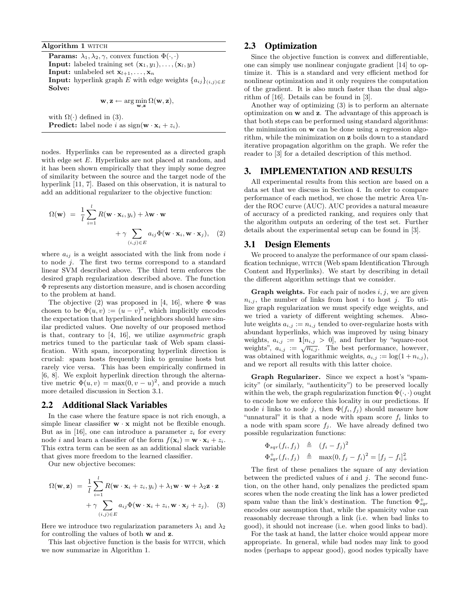Algorithm 1 WITCH

**Params:**  $\lambda_1, \lambda_2, \gamma$ , convex function  $\Phi(\cdot, \cdot)$ **Input:** labeled training set  $(\mathbf{x}_1, y_1), \ldots, (\mathbf{x}_l, y_l)$ **Input:** unlabeled set  $\mathbf{x}_{l+1}, \ldots, \mathbf{x}_n$ **Input:** hyperlink graph E with edge weights  $\{a_{ij}\}_{(i,j)\in E}$ Solve:

$$
\mathbf{w}, \mathbf{z} \leftarrow \arg\min_{\mathbf{w}, \mathbf{z}} \Omega(\mathbf{w}, \mathbf{z}),
$$

with  $\Omega(\cdot)$  defined in (3). **Predict:** label node i as  $sign(\mathbf{w} \cdot \mathbf{x}_i + z_i)$ .

nodes. Hyperlinks can be represented as a directed graph with edge set E. Hyperlinks are not placed at random, and it has been shown empirically that they imply some degree of similarity between the source and the target node of the hyperlink [11, 7]. Based on this observation, it is natural to add an additional regularizer to the objective function:

$$
\Omega(\mathbf{w}) = \frac{1}{l} \sum_{i=1}^{l} R(\mathbf{w} \cdot \mathbf{x}_i, y_i) + \lambda \mathbf{w} \cdot \mathbf{w} + \gamma \sum_{(i,j) \in E} a_{ij} \Phi(\mathbf{w} \cdot \mathbf{x}_i, \mathbf{w} \cdot \mathbf{x}_j), \quad (2)
$$

where  $a_{ij}$  is a weight associated with the link from node i to node j. The first two terms correspond to a standard linear SVM described above. The third term enforces the desired graph regularization described above. The function Φ represents any distortion measure, and is chosen according to the problem at hand.

The objective (2) was proposed in [4, 16], where  $\Phi$  was chosen to be  $\Phi(u, v) := (u - v)^2$ , which implicitly encodes the expectation that hyperlinked neighbors should have similar predicted values. One novelty of our proposed method is that, contrary to [4, 16], we utilize asymmetric graph metrics tuned to the particular task of Web spam classification. With spam, incorporating hyperlink direction is crucial: spam hosts frequently link to genuine hosts but rarely vice versa. This has been empirically confirmed in [6, 8]. We exploit hyperlink direction through the alternative metric  $\Phi(u, v) = \max(0, v - u)^2$ , and provide a much more detailed discussion in Section 3.1.

#### 2.2 Additional Slack Variables

In the case where the feature space is not rich enough, a simple linear classifier  $w \cdot x$  might not be flexible enough. But as in [16], one can introduce a parameter  $z_i$  for every node *i* and learn a classifier of the form  $f(\mathbf{x}_i) = \mathbf{w} \cdot \mathbf{x}_i + z_i$ . This extra term can be seen as an additional slack variable that gives more freedom to the learned classifier.

Our new objective becomes:

$$
\Omega(\mathbf{w}, \mathbf{z}) = \frac{1}{l} \sum_{i=1}^{l} R(\mathbf{w} \cdot \mathbf{x}_i + z_i, y_i) + \lambda_1 \mathbf{w} \cdot \mathbf{w} + \lambda_2 \mathbf{z} \cdot \mathbf{z} + \gamma \sum_{(i,j) \in E} a_{ij} \Phi(\mathbf{w} \cdot \mathbf{x}_i + z_i, \mathbf{w} \cdot \mathbf{x}_j + z_j).
$$
 (3)

Here we introduce two regularization parameters  $\lambda_1$  and  $\lambda_2$ for controlling the values of both w and z.

This last objective function is the basis for WITCH, which we now summarize in Algorithm 1.

## 2.3 Optimization

Since the objective function is convex and differentiable, one can simply use nonlinear conjugate gradient [14] to optimize it. This is a standard and very efficient method for nonlinear optimization and it only requires the computation of the gradient. It is also much faster than the dual algorithm of [16]. Details can be found in [3].

Another way of optimizing (3) is to perform an alternate optimization on w and z. The advantage of this approach is that both steps can be performed using standard algorithms: the minimization on w can be done using a regression algorithm, while the minimization on z boils down to a standard iterative propagation algorithm on the graph. We refer the reader to [3] for a detailed description of this method.

#### 3. IMPLEMENTATION AND RESULTS

All experimental results from this section are based on a data set that we discuss in Section 4. In order to compare performance of each method, we chose the metric Area Under the ROC curve (AUC). AUC provides a natural measure of accuracy of a predicted ranking, and requires only that the algorithm outputs an ordering of the test set. Further details about the experimental setup can be found in [3].

#### 3.1 Design Elements

We proceed to analyze the performance of our spam classification technique, witch (Web spam Identification Through Content and Hyperlinks). We start by describing in detail the different algorithm settings that we consider.

**Graph weights.** For each pair of nodes  $i, j$ , we are given  $n_{i,j}$ , the number of links from host i to host j. To utilize graph regularization we must specify edge weights, and we tried a variety of different weighting schemes. Absolute weights  $a_{i,j} := n_{i,j}$  tended to over-regularize hosts with abundant hyperlinks, which was improved by using binary weights,  $a_{i,j} := 1[n_{i,j} > 0]$ , and further by "square-root weights",  $a_{i,j} := \sqrt{n_{i,j}}$ . The best performance, however, was obtained with logarithmic weights,  $a_{i,j} := \log(1 + n_{i,j}),$ and we report all results with this latter choice.

Graph Regularizer. Since we expect a host's "spamicity" (or similarly, "authenticity") to be preserved locally within the web, the graph regularization function  $\Phi(\cdot, \cdot)$  ought to encode how we enforce this locality in our predictions. If node *i* links to node *j*, then  $\Phi(f_i, f_j)$  should measure how "unnatural" it is that a node with spam score  $f_i$  links to a node with spam score  $f_i$ . We have already defined two possible regularization functions:

$$
\begin{array}{rcl}\n\Phi_{sqr}(f_i, f_j) & \triangleq & (f_i - f_j)^2 \\
\Phi_{sqr}^+(f_i, f_j) & \triangleq & \max(0, f_j - f_i)^2 = [f_j - f_i]_+^2\n\end{array}
$$

The first of these penalizes the square of any deviation between the predicted values of  $i$  and  $j$ . The second function, on the other hand, only penalizes the predicted spam scores when the node creating the link has a lower predicted spam value than the link's destination. The function  $\Phi_{sqr}^+$ encodes our assumption that, while the spamicity value can reasonably decrease through a link (i.e. when bad links to good), it should not increase (i.e. when good links to bad).

For the task at hand, the latter choice would appear more appropriate. In general, while bad nodes may link to good nodes (perhaps to appear good), good nodes typically have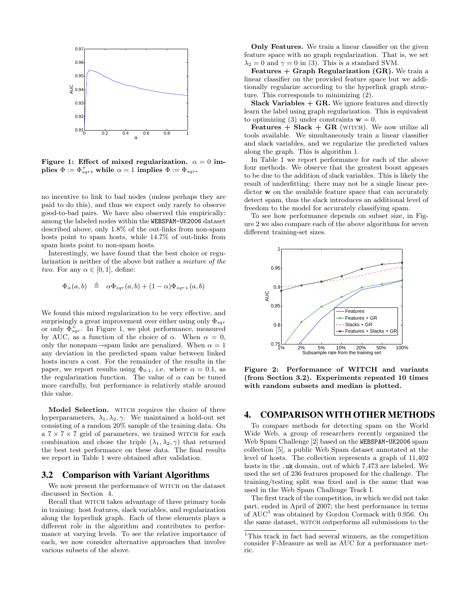

Figure 1: Effect of mixed regularization.  $\alpha = 0$  im- $\textbf{plies}\ \Phi:=\Phi_{sqr}^+,\ \textbf{while}\ \alpha=1\ \textbf{implies}\ \Phi:=\Phi_{sqr}.$ 

no incentive to link to bad nodes (unless perhaps they are paid to do this), and thus we expect only rarely to observe good-to-bad pairs. We have also observed this empirically: among the labeled nodes within the WEBSPAM-UK2006 dataset described above, only 1.8% of the out-links from non-spam hosts point to spam hosts, while 14.7% of out-links from spam hosts point to non-spam hosts.

Interestingly, we have found that the best choice or regularization is neither of the above but rather a mixture of the two. For any  $\alpha \in [0,1]$ , define:

$$
\Phi_{\alpha}(a,b) \triangleq \alpha \Phi_{sqr}(a,b) + (1-\alpha) \Phi_{sqr}(a,b)
$$

We found this mixed regularization to be very effective, and surprisingly a great improvement over either using only  $\Phi_{\text{sqrt}}$ or only  $\Phi_{sqr}^+$ . In Figure 1, we plot performance, measured by AUC, as a function of the choice of  $\alpha$ . When  $\alpha = 0$ , only the nonspam→spam links are penalized. When  $\alpha = 1$ any deviation in the predicted spam value between linked hosts incurs a cost. For the remainder of the results in the paper, we report results using  $\Phi_{0.1}$ , i.e. where  $\alpha = 0.1$ , as the regularization function. The value of  $\alpha$  can be tuned more carefully, but performance is relatively stable around this value.

Model Selection. WITCH requires the choice of three hyperparameters,  $\lambda_1, \lambda_2, \gamma$ . We maintained a hold-out set consisting of a random 20% sample of the training data. On  $a 7 \times 7 \times 7$  grid of parameters, we trained WITCH for each combination and chose the triple  $(\lambda_1, \lambda_2, \gamma)$  that returned the best test performance on these data. The final results we report in Table 1 were obtained after validation.

#### 3.2 Comparison with Variant Algorithms

We now present the performance of WITCH on the dataset discussed in Section 4.

Recall that WITCH takes advantage of three primary tools in training: host features, slack variables, and regularization along the hyperlink graph. Each of these elements plays a different role in the algorithm and contributes to performance at varying levels. To see the relative importance of each, we now consider alternative approaches that involve various subsets of the above.

Only Features. We train a linear classifier on the given feature space with no graph regularization. That is, we set  $\lambda_2 = 0$  and  $\gamma = 0$  in (3). This is a standard SVM.

Features  $+$  Graph Regularization (GR). We train a linear classifier on the provided feature space but we additionally regularize according to the hyperlink graph structure. This corresponds to minimizing (2).

Slack Variables  $+$  GR. We ignore features and directly learn the label using graph regularization. This is equivalent to optimizing (3) under constraints  $w = 0$ .

Features  $+$  Slack  $+$  GR (WITCH). We now utilize all tools available. We simultaneously train a linear classifier and slack variables, and we regularize the predicted values along the graph. This is algorithm 1.

In Table 1 we report performance for each of the above four methods. We observe that the greatest boost appears to be due to the addition of slack variables. This is likely the result of underfitting: there may not be a single linear predictor w on the available feature space that can accurately detect spam, thus the slack introduces an additional level of freedom to the model for accurately classifying spam.

To see how performance depends on subset size, in Figure 2 we also compare each of the above algorithms for seven different training-set sizes.



Figure 2: Performance of WITCH and variants (from Section 3.2). Experiments repeated 10 times with random subsets and median is plotted.

## 4. COMPARISON WITH OTHER METHODS

To compare methods for detecting spam on the World Wide Web, a group of researchers recently organized the Web Spam Challenge [2] based on the WEBSPAM-UK2006 spam collection [5], a public Web Spam dataset annotated at the level of hosts. The collection represents a graph of 11,402 hosts in the .uk domain, out of which 7,473 are labeled. We used the set of 236 features proposed for the challenge. The training/testing split was fixed and is the same that was used in the Web Spam Challenge Track I.

The first track of the competition, in which we did not take part, ended in April of 2007; the best performance in terms of  $AUC<sup>1</sup>$  was obtained by Gordon Cormack with 0.956. On the same dataset, WITCH outperforms all submissions to the

 $1$ This track in fact had several winners, as the competition consider F-Measure as well as AUC for a performance metric.